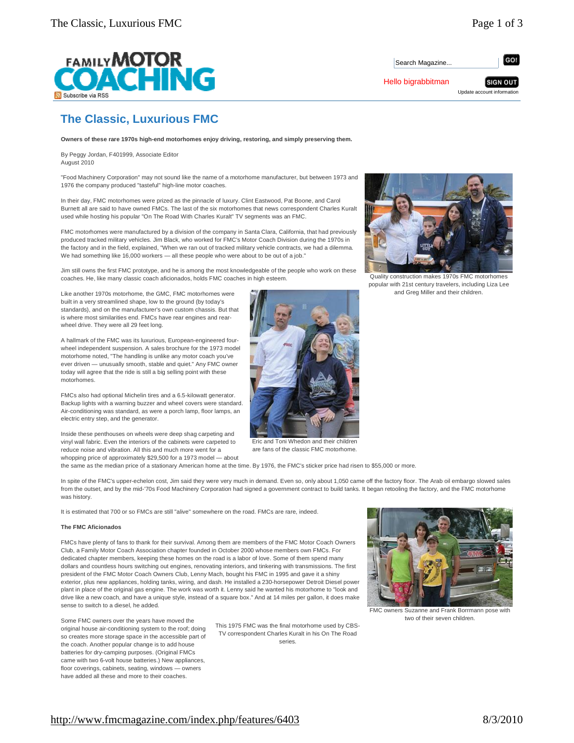

Search Magazine.

Hello bigrabbitman

GO!

**SIGN OUT** Update account information

**The Classic, Luxurious FMC** 

**Owners of these rare 1970s high-end motorhomes enjoy driving, restoring, and simply preserving them.**

By Peggy Jordan, F401999, Associate Editor August 2010

"Food Machinery Corporation" may not sound like the name of a motorhome manufacturer, but between 1973 and 1976 the company produced "tasteful" high-line motor coaches.

In their day, FMC motorhomes were prized as the pinnacle of luxury. Clint Eastwood, Pat Boone, and Carol Burnett all are said to have owned FMCs. The last of the six motorhomes that news correspondent Charles Kuralt used while hosting his popular "On The Road With Charles Kuralt" TV segments was an FMC.

FMC motorhomes were manufactured by a division of the company in Santa Clara, California, that had previously produced tracked military vehicles. Jim Black, who worked for FMC's Motor Coach Division during the 1970s in the factory and in the field, explained, "When we ran out of tracked military vehicle contracts, we had a dilemma. We had something like 16,000 workers — all these people who were about to be out of a job."

Jim still owns the first FMC prototype, and he is among the most knowledgeable of the people who work on these coaches. He, like many classic coach aficionados, holds FMC coaches in high esteem.

Like another 1970s motorhome, the GMC, FMC motorhomes were built in a very streamlined shape, low to the ground (by today's standards), and on the manufacturer's own custom chassis. But that is where most similarities end. FMCs have rear engines and rearwheel drive. They were all 29 feet long.

A hallmark of the FMC was its luxurious, European-engineered fourwheel independent suspension. A sales brochure for the 1973 model motorhome noted, "The handling is unlike any motor coach you've ever driven — unusually smooth, stable and quiet." Any FMC owner today will agree that the ride is still a big selling point with these motorhomes.

FMCs also had optional Michelin tires and a 6.5-kilowatt generator. Backup lights with a warning buzzer and wheel covers were standard. Air-conditioning was standard, as were a porch lamp, floor lamps, an electric entry step, and the generator.

Inside these penthouses on wheels were deep shag carpeting and vinyl wall fabric. Even the interiors of the cabinets were carpeted to reduce noise and vibration. All this and much more went for a whopping price of approximately \$29,500 for a 1973 model — about

the same as the median price of a stationary American home at the time. By 1976, the FMC's sticker price had risen to \$55,000 or more.

In spite of the FMC's upper-echelon cost, Jim said they were very much in demand. Even so, only about 1,050 came off the factory floor. The Arab oil embargo slowed sales from the outset, and by the mid-'70s Food Machinery Corporation had signed a government contract to build tanks. It began retooling the factory, and the FMC motorhome was history

It is estimated that 700 or so FMCs are still "alive" somewhere on the road. FMCs are rare, indeed.

# **The FMC Aficionados**

FMCs have plenty of fans to thank for their survival. Among them are members of the FMC Motor Coach Owners Club, a Family Motor Coach Association chapter founded in October 2000 whose members own FMCs. For dedicated chapter members, keeping these homes on the road is a labor of love. Some of them spend many dollars and countless hours switching out engines, renovating interiors, and tinkering with transmissions. The first president of the FMC Motor Coach Owners Club, Lenny Mach, bought his FMC in 1995 and gave it a shiny exterior, plus new appliances, holding tanks, wiring, and dash. He installed a 230-horsepower Detroit Diesel power plant in place of the original gas engine. The work was worth it. Lenny said he wanted his motorhome to "look and drive like a new coach, and have a unique style, instead of a square box." And at 14 miles per gallon, it does make sense to switch to a diesel, he added.

Some FMC owners over the years have moved the original house air-conditioning system to the roof; doing so creates more storage space in the accessible part of the coach. Another popular change is to add house batteries for dry-camping purposes. (Original FMCs came with two 6-volt house batteries.) New appliances, floor coverings, cabinets, seating, windows — owners have added all these and more to their coaches.

### This 1975 FMC was the final motorhome used by CBS-TV correspondent Charles Kuralt in his On The Road series.



two of their seven children.





Quality construction makes 1970s FMC motorhomes popular with 21st century travelers, including Liza Lee and Greg Miller and their children.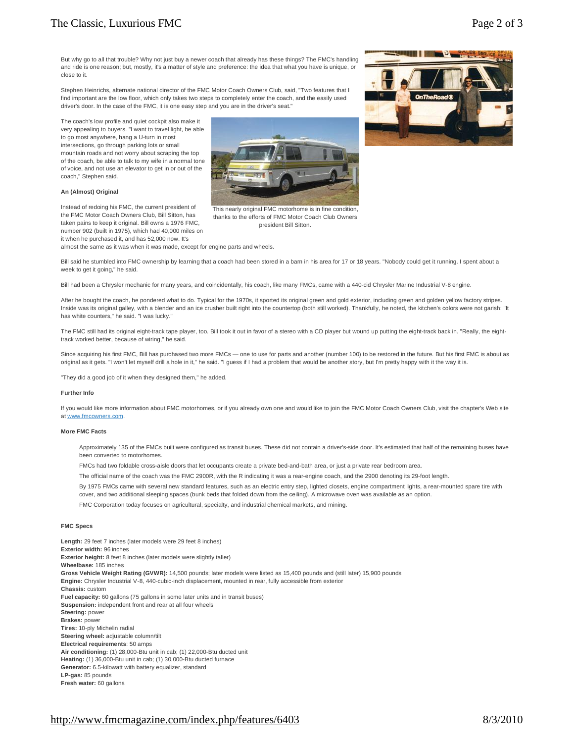| <b>Fuel Capacity.</b> OU gallotis (75 gallotis III soffie fatel unlis and in transit buses |
|--------------------------------------------------------------------------------------------|
| <b>Suspension:</b> independent front and rear at all four wheels                           |
| Steering: power                                                                            |
| <b>Brakes: power</b>                                                                       |
| Tires: 10-ply Michelin radial                                                              |
| Steering wheel: adjustable column/tilt                                                     |
| Electrical requirements: 50 amps                                                           |
| Air conditioning: (1) 28,000-Btu unit in cab; (1) 22,000-Btu ducted unit                   |
| Heating: (1) 36,000-Btu unit in cab; (1) 30,000-Btu ducted furnace                         |
| Generator: 6.5-kilowatt with battery equalizer, standard                                   |
| LP-gas: 85 pounds                                                                          |
| Fresh water: 60 gallons                                                                    |

**Length:** 29 feet 7 inches (later models were 29 feet 8 inches)

**Exterior height:** 8 feet 8 inches (later models were slightly taller)

But why go to all that trouble? Why not just buy a newer coach that already has these things? The FMC's handling and ride is one reason; but, mostly, it's a matter of style and preference: the idea that what you have is unique, or close to it.

Stephen Heinrichs, alternate national director of the FMC Motor Coach Owners Club, said, "Two features that I find important are the low floor, which only takes two steps to completely enter the coach, and the easily used driver's door. In the case of the FMC, it is one easy step and you are in the driver's seat."

The coach's low profile and quiet cockpit also make it very appealing to buyers. "I want to travel light, be able to go most anywhere, hang a U-turn in most intersections, go through parking lots or small mountain roads and not worry about scraping the top of the coach, be able to talk to my wife in a normal tone of voice, and not use an elevator to get in or out of the coach," Stephen said.

## **An (Almost) Original**

Instead of redoing his FMC, the current president of the FMC Motor Coach Owners Club, Bill Sitton, has taken pains to keep it original. Bill owns a 1976 FMC, number 902 (built in 1975), which had 40,000 miles on it when he purchased it, and has 52,000 now. It's

almost the same as it was when it was made, except for engine parts and wheels.

Bill said he stumbled into FMC ownership by learning that a coach had been stored in a barn in his area for 17 or 18 years. "Nobody could get it running. I spent about a week to get it going," he said.

Bill had been a Chrysler mechanic for many years, and coincidentally, his coach, like many FMCs, came with a 440-cid Chrysler Marine Industrial V-8 engine.

After he bought the coach, he pondered what to do. Typical for the 1970s, it sported its original green and gold exterior, including green and golden yellow factory stripes. Inside was its original galley, with a blender and an ice crusher built right into the countertop (both still worked). Thankfully, he noted, the kitchen's colors were not garish: "It has white counters," he said. "I was lucky."

The FMC still had its original eight-track tape player, too. Bill took it out in favor of a stereo with a CD player but wound up putting the eight-track back in. "Really, the eighttrack worked better, because of wiring," he said.

Since acquiring his first FMC, Bill has purchased two more FMCs — one to use for parts and another (number 100) to be restored in the future. But his first FMC is about as original as it gets. "I won't let myself drill a hole in it," he said. "I guess if I had a problem that would be another story, but I'm pretty happy with it the way it is.

"They did a good job of it when they designed them," he added.

#### **Further Info**

If you would like more information about FMC motorhomes, or if you already own one and would like to join the FMC Motor Coach Owners Club, visit the chapter's Web site at [www.fmcowners.com.](http://www.fmcowners.com)

## **More FMC Facts**

Approximately 135 of the FMCs built were configured as transit buses. These did not contain a driver's-side door. It's estimated that half of the remaining buses have been converted to motorhomes.

FMCs had two foldable cross-aisle doors that let occupants create a private bed-and-bath area, or just a private rear bedroom area.

The official name of the coach was the FMC 2900R, with the R indicating it was a rear-engine coach, and the 2900 denoting its 29-foot length.

By 1975 FMCs came with several new standard features, such as an electric entry step, lighted closets, engine compartment lights, a rear-mounted spare tire with cover, and two additional sleeping spaces (bunk beds that folded down from the ceiling). A microwave oven was available as an option.

FMC Corporation today focuses on agricultural, specialty, and industrial chemical markets, and mining.

**Engine:** Chrysler Industrial V-8, 440-cubic-inch displacement, mounted in rear, fully accessible from exterior

**Gross Vehicle Weight Rating (GVWR):** 14,500 pounds; later models were listed as 15,400 pounds and (still later) 15,900 pounds

## **FMC Specs**

**Exterior width:** 96 inches

**Wheelbase:** 185 inches

This nearly original FMC motorhome is in fine condition, thanks to the efforts of FMC Motor Coach Club Owners

president Bill Sitton.